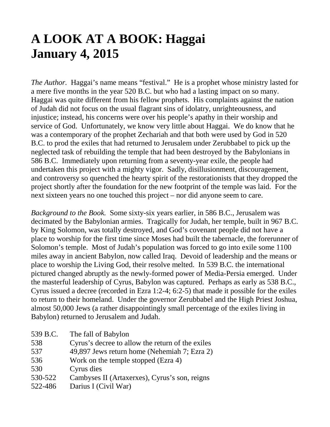# **A LOOK AT A BOOK: Haggai January 4, 2015**

*The Author.* Haggai's name means "festival." He is a prophet whose ministry lasted for a mere five months in the year 520 B.C. but who had a lasting impact on so many. Haggai was quite different from his fellow prophets. His complaints against the nation of Judah did not focus on the usual flagrant sins of idolatry, unrighteousness, and injustice; instead, his concerns were over his people's apathy in their worship and service of God. Unfortunately, we know very little about Haggai. We do know that he was a contemporary of the prophet Zechariah and that both were used by God in 520 B.C. to prod the exiles that had returned to Jerusalem under Zerubbabel to pick up the neglected task of rebuilding the temple that had been destroyed by the Babylonians in 586 B.C. Immediately upon returning from a seventy-year exile, the people had undertaken this project with a mighty vigor. Sadly, disillusionment, discouragement, and controversy so quenched the hearty spirit of the restorationists that they dropped the project shortly after the foundation for the new footprint of the temple was laid. For the next sixteen years no one touched this project – nor did anyone seem to care.

*Background to the Book.* Some sixty-six years earlier, in 586 B.C., Jerusalem was decimated by the Babylonian armies. Tragically for Judah, her temple, built in 967 B.C. by King Solomon, was totally destroyed, and God's covenant people did not have a place to worship for the first time since Moses had built the tabernacle, the forerunner of Solomon's temple. Most of Judah's population was forced to go into exile some 1100 miles away in ancient Babylon, now called Iraq. Devoid of leadership and the means or place to worship the Living God, their resolve melted. In 539 B.C. the international pictured changed abruptly as the newly-formed power of Media-Persia emerged. Under the masterful leadership of Cyrus, Babylon was captured. Perhaps as early as 538 B.C., Cyrus issued a decree (recorded in Ezra 1:2-4; 6:2-5) that made it possible for the exiles to return to their homeland. Under the governor Zerubbabel and the High Priest Joshua, almost 50,000 Jews (a rather disappointingly small percentage of the exiles living in Babylon) returned to Jerusalem and Judah.

| 539 B.C. | The fall of Babylon                              |
|----------|--------------------------------------------------|
| 538      | Cyrus's decree to allow the return of the exiles |
| 537      | 49,897 Jews return home (Nehemiah 7; Ezra 2)     |
| 536      | Work on the temple stopped (Ezra 4)              |
| 530      | Cyrus dies                                       |
| 530-522  | Cambyses II (Artaxerxes), Cyrus's son, reigns    |
| 522-486  | Darius I (Civil War)                             |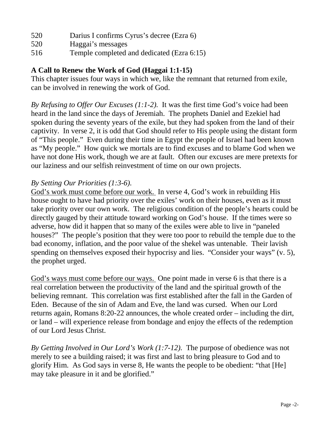- 520 Darius I confirms Cyrus's decree (Ezra 6)
- 520 Haggai's messages
- 516 Temple completed and dedicated (Ezra 6:15)

# **A Call to Renew the Work of God (Haggai 1:1-15)**

This chapter issues four ways in which we, like the remnant that returned from exile, can be involved in renewing the work of God.

*By Refusing to Offer Our Excuses (1:1-2).* It was the first time God's voice had been heard in the land since the days of Jeremiah. The prophets Daniel and Ezekiel had spoken during the seventy years of the exile, but they had spoken from the land of their captivity. In verse 2, it is odd that God should refer to His people using the distant form of "This people." Even during their time in Egypt the people of Israel had been known as "My people." How quick we mortals are to find excuses and to blame God when we have not done His work, though we are at fault. Often our excuses are mere pretexts for our laziness and our selfish reinvestment of time on our own projects.

# *By Setting Our Priorities (1:3-6).*

God's work must come before our work. In verse 4, God's work in rebuilding His house ought to have had priority over the exiles' work on their houses, even as it must take priority over our own work. The religious condition of the people's hearts could be directly gauged by their attitude toward working on God's house. If the times were so adverse, how did it happen that so many of the exiles were able to live in "paneled houses?" The people's position that they were too poor to rebuild the temple due to the bad economy, inflation, and the poor value of the shekel was untenable. Their lavish spending on themselves exposed their hypocrisy and lies. "Consider your ways" (v. 5), the prophet urged.

God's ways must come before our ways. One point made in verse 6 is that there is a real correlation between the productivity of the land and the spiritual growth of the believing remnant. This correlation was first established after the fall in the Garden of Eden. Because of the sin of Adam and Eve, the land was cursed. When our Lord returns again, Romans 8:20-22 announces, the whole created order – including the dirt, or land – will experience release from bondage and enjoy the effects of the redemption of our Lord Jesus Christ.

*By Getting Involved in Our Lord's Work (1:7-12).* The purpose of obedience was not merely to see a building raised; it was first and last to bring pleasure to God and to glorify Him. As God says in verse 8, He wants the people to be obedient: "that [He] may take pleasure in it and be glorified."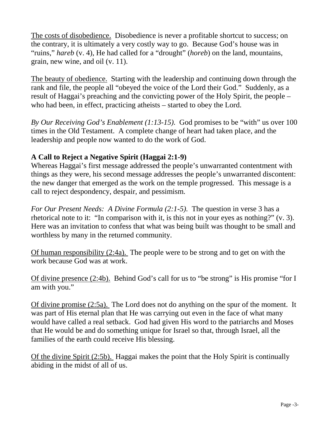The costs of disobedience. Disobedience is never a profitable shortcut to success; on the contrary, it is ultimately a very costly way to go. Because God's house was in "ruins," *hareb* (v. 4), He had called for a "drought" (*horeb*) on the land, mountains, grain, new wine, and oil (v. 11).

The beauty of obedience. Starting with the leadership and continuing down through the rank and file, the people all "obeyed the voice of the Lord their God." Suddenly, as a result of Haggai's preaching and the convicting power of the Holy Spirit, the people – who had been, in effect, practicing atheists – started to obey the Lord.

*By Our Receiving God's Enablement (1:13-15).* God promises to be "with" us over 100 times in the Old Testament. A complete change of heart had taken place, and the leadership and people now wanted to do the work of God.

#### **A Call to Reject a Negative Spirit (Haggai 2:1-9)**

Whereas Haggai's first message addressed the people's unwarranted contentment with things as they were, his second message addresses the people's unwarranted discontent: the new danger that emerged as the work on the temple progressed. This message is a call to reject despondency, despair, and pessimism.

*For Our Present Needs: A Divine Formula (2:1-5).* The question in verse 3 has a rhetorical note to it: "In comparison with it, is this not in your eyes as nothing?" (v. 3). Here was an invitation to confess that what was being built was thought to be small and worthless by many in the returned community.

Of human responsibility (2:4a). The people were to be strong and to get on with the work because God was at work.

Of divine presence (2:4b). Behind God's call for us to "be strong" is His promise "for I am with you."

Of divine promise (2:5a). The Lord does not do anything on the spur of the moment. It was part of His eternal plan that He was carrying out even in the face of what many would have called a real setback. God had given His word to the patriarchs and Moses that He would be and do something unique for Israel so that, through Israel, all the families of the earth could receive His blessing.

Of the divine Spirit (2:5b). Haggai makes the point that the Holy Spirit is continually abiding in the midst of all of us.